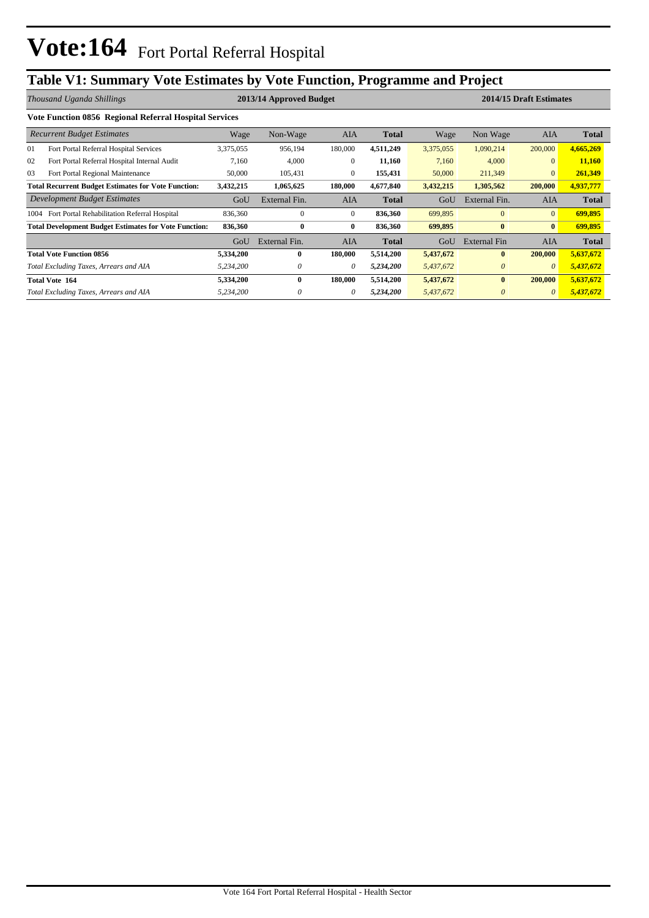## **Table V1: Summary Vote Estimates by Vote Function, Programme and Project**

|      | Thousand Uganda Shillings                                    |           | 2013/14 Approved Budget |              |              |           | 2014/15 Draft Estimates |                |              |  |  |
|------|--------------------------------------------------------------|-----------|-------------------------|--------------|--------------|-----------|-------------------------|----------------|--------------|--|--|
|      | Vote Function 0856 Regional Referral Hospital Services       |           |                         |              |              |           |                         |                |              |  |  |
|      | <b>Recurrent Budget Estimates</b>                            | Wage      | Non-Wage                | <b>AIA</b>   | <b>Total</b> | Wage      | Non Wage                | <b>AIA</b>     | Total        |  |  |
| 01   | Fort Portal Referral Hospital Services                       | 3,375,055 | 956,194                 | 180,000      | 4,511,249    | 3,375,055 | 1,090,214               | 200,000        | 4,665,269    |  |  |
| 02   | Fort Portal Referral Hospital Internal Audit                 | 7,160     | 4,000                   | $\mathbf{0}$ | 11,160       | 7,160     | 4,000                   | $\mathbf{0}$   | 11,160       |  |  |
| 03   | Fort Portal Regional Maintenance                             | 50,000    | 105,431                 | $\mathbf{0}$ | 155,431      | 50,000    | 211,349                 | $\overline{0}$ | 261,349      |  |  |
|      | <b>Total Recurrent Budget Estimates for Vote Function:</b>   | 3,432,215 | 1,065,625               | 180,000      | 4,677,840    | 3,432,215 | 1,305,562               | 200,000        | 4,937,777    |  |  |
|      | Development Budget Estimates                                 | GoU       | External Fin.           | <b>AIA</b>   | <b>Total</b> | GoU       | External Fin.           | <b>AIA</b>     | <b>Total</b> |  |  |
| 1004 | Fort Portal Rehabilitation Referral Hospital                 | 836,360   | $\mathbf{0}$            | $\mathbf{0}$ | 836,360      | 699,895   | $\mathbf{0}$            | $\overline{0}$ | 699,895      |  |  |
|      | <b>Total Development Budget Estimates for Vote Function:</b> | 836,360   | $\bf{0}$                | $\bf{0}$     | 836,360      | 699,895   | $\bf{0}$                | $\bf{0}$       | 699,895      |  |  |
|      |                                                              | GoU       | External Fin.           | <b>AIA</b>   | <b>Total</b> | GoU       | <b>External Fin</b>     | <b>AIA</b>     | <b>Total</b> |  |  |
|      | <b>Total Vote Function 0856</b>                              | 5,334,200 | 0                       | 180,000      | 5,514,200    | 5,437,672 | $\mathbf{0}$            | 200,000        | 5,637,672    |  |  |
|      | Total Excluding Taxes, Arrears and AIA                       | 5,234,200 | 0                       | $\theta$     | 5,234,200    | 5,437,672 | $\theta$                | $\theta$       | 5,437,672    |  |  |
|      | <b>Total Vote 164</b>                                        | 5,334,200 | $\bf{0}$                | 180,000      | 5,514,200    | 5,437,672 | $\bf{0}$                | 200,000        | 5,637,672    |  |  |
|      | Total Excluding Taxes, Arrears and AIA                       | 5,234,200 | 0                       | 0            | 5,234,200    | 5,437,672 | $\theta$                | $\theta$       | 5,437,672    |  |  |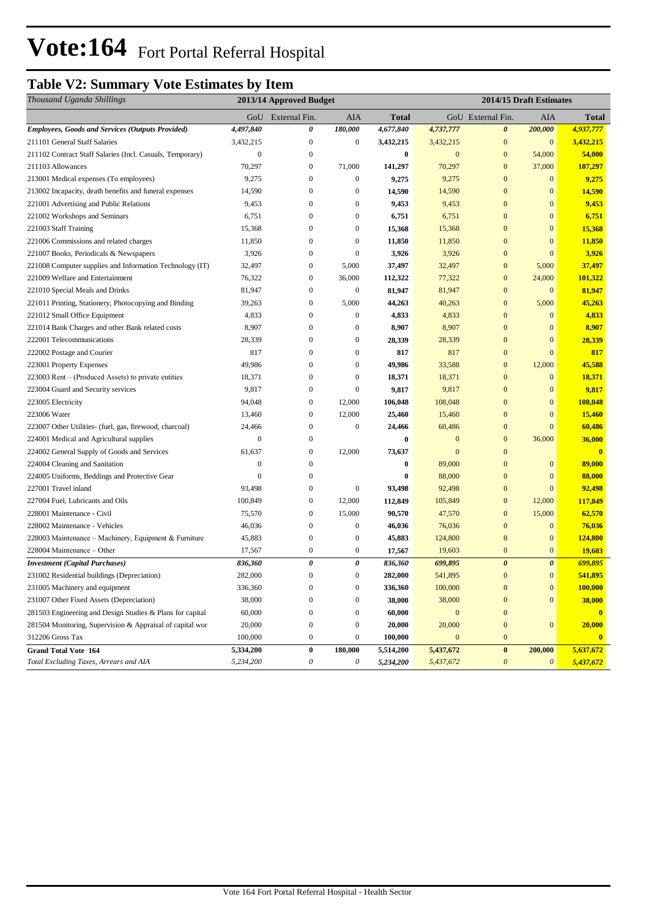# **Vote:164** Fort Portal Referral Hospital

## **Table V2: Summary Vote Estimates by Item**

| Thousand Uganda Shillings                                 |                  | 2013/14 Approved Budget |                  |           | 2014/15 Draft Estimates |                       |                       |              |  |
|-----------------------------------------------------------|------------------|-------------------------|------------------|-----------|-------------------------|-----------------------|-----------------------|--------------|--|
|                                                           |                  | GoU External Fin.       | AIA              | Total     |                         | GoU External Fin.     | AIA                   | <b>Total</b> |  |
| <b>Employees, Goods and Services (Outputs Provided)</b>   | 4,497,840        | 0                       | 180,000          | 4,677,840 | 4,737,777               | $\boldsymbol{\theta}$ | 200,000               | 4,937,777    |  |
| 211101 General Staff Salaries                             | 3,432,215        | $\mathbf{0}$            | $\boldsymbol{0}$ | 3,432,215 | 3,432,215               | $\mathbf{0}$          | $\boldsymbol{0}$      | 3,432,215    |  |
| 211102 Contract Staff Salaries (Incl. Casuals, Temporary) | $\boldsymbol{0}$ | $\boldsymbol{0}$        |                  | $\bf{0}$  | $\mathbf{0}$            | $\mathbf{0}$          | 54,000                | 54,000       |  |
| 211103 Allowances                                         | 70,297           | $\bf{0}$                | 71,000           | 141,297   | 70,297                  | $\mathbf{0}$          | 37,000                | 107,297      |  |
| 213001 Medical expenses (To employees)                    | 9,275            | $\boldsymbol{0}$        | $\boldsymbol{0}$ | 9,275     | 9,275                   | $\overline{0}$        | $\mathbf{0}$          | 9,275        |  |
| 213002 Incapacity, death benefits and funeral expenses    | 14,590           | $\boldsymbol{0}$        | $\boldsymbol{0}$ | 14,590    | 14,590                  | $\mathbf{0}$          | $\mathbf{0}$          | 14,590       |  |
| 221001 Advertising and Public Relations                   | 9,453            | $\boldsymbol{0}$        | $\boldsymbol{0}$ | 9,453     | 9,453                   | $\mathbf{0}$          | $\mathbf{0}$          | 9,453        |  |
| 221002 Workshops and Seminars                             | 6,751            | $\boldsymbol{0}$        | $\boldsymbol{0}$ | 6,751     | 6,751                   | $\mathbf{0}$          | $\mathbf{0}$          | 6,751        |  |
| 221003 Staff Training                                     | 15,368           | $\boldsymbol{0}$        | $\boldsymbol{0}$ | 15,368    | 15,368                  | $\mathbf{0}$          | $\mathbf{0}$          | 15,368       |  |
| 221006 Commissions and related charges                    | 11,850           | $\boldsymbol{0}$        | $\boldsymbol{0}$ | 11,850    | 11,850                  | $\mathbf{0}$          | $\mathbf{0}$          | 11,850       |  |
| 221007 Books, Periodicals & Newspapers                    | 3,926            | $\boldsymbol{0}$        | $\boldsymbol{0}$ | 3,926     | 3,926                   | $\mathbf{0}$          | $\mathbf{0}$          | 3,926        |  |
| 221008 Computer supplies and Information Technology (IT)  | 32,497           | $\boldsymbol{0}$        | 5,000            | 37,497    | 32,497                  | $\boldsymbol{0}$      | 5,000                 | 37,497       |  |
| 221009 Welfare and Entertainment                          | 76,322           | $\boldsymbol{0}$        | 36,000           | 112,322   | 77,322                  | $\mathbf{0}$          | 24,000                | 101,322      |  |
| 221010 Special Meals and Drinks                           | 81,947           | $\boldsymbol{0}$        | $\boldsymbol{0}$ | 81,947    | 81,947                  | $\mathbf{0}$          | $\mathbf{0}$          | 81,947       |  |
| 221011 Printing, Stationery, Photocopying and Binding     | 39,263           | $\mathbf{0}$            | 5,000            | 44,263    | 40,263                  | $\mathbf{0}$          | 5,000                 | 45,263       |  |
| 221012 Small Office Equipment                             | 4,833            | $\mathbf{0}$            | $\boldsymbol{0}$ | 4,833     | 4,833                   | $\mathbf{0}$          | $\mathbf{0}$          | 4,833        |  |
| 221014 Bank Charges and other Bank related costs          | 8,907            | $\mathbf{0}$            | $\boldsymbol{0}$ | 8,907     | 8,907                   | $\mathbf{0}$          | $\mathbf{0}$          | 8,907        |  |
| 222001 Telecommunications                                 | 28,339           | $\mathbf{0}$            | $\boldsymbol{0}$ | 28,339    | 28,339                  | $\mathbf{0}$          | $\mathbf{0}$          | 28,339       |  |
| 222002 Postage and Courier                                | 817              | $\boldsymbol{0}$        | $\boldsymbol{0}$ | 817       | 817                     | $\mathbf{0}$          | $\overline{0}$        | 817          |  |
| 223001 Property Expenses                                  | 49,986           | $\boldsymbol{0}$        | $\boldsymbol{0}$ | 49,986    | 33,588                  | $\mathbf{0}$          | 12,000                | 45,588       |  |
| 223003 Rent – (Produced Assets) to private entities       | 18,371           | $\boldsymbol{0}$        | $\boldsymbol{0}$ | 18,371    | 18,371                  | $\boldsymbol{0}$      | $\mathbf{0}$          | 18,371       |  |
| 223004 Guard and Security services                        | 9,817            | $\boldsymbol{0}$        | $\boldsymbol{0}$ | 9,817     | 9,817                   | $\overline{0}$        | $\mathbf{0}$          | 9,817        |  |
| 223005 Electricity                                        | 94,048           | $\boldsymbol{0}$        | 12,000           | 106,048   | 108,048                 | $\mathbf{0}$          | $\mathbf{0}$          | 108,048      |  |
| 223006 Water                                              | 13,460           | $\mathbf{0}$            | 12,000           | 25,460    | 15,460                  | $\overline{0}$        | $\mathbf{0}$          | 15,460       |  |
| 223007 Other Utilities- (fuel, gas, firewood, charcoal)   | 24,466           | $\boldsymbol{0}$        | $\boldsymbol{0}$ | 24,466    | 60,486                  | $\mathbf{0}$          | $\overline{0}$        | 60,486       |  |
| 224001 Medical and Agricultural supplies                  | $\mathbf{0}$     | $\boldsymbol{0}$        |                  | $\bf{0}$  | $\mathbf{0}$            | $\mathbf{0}$          | 36,000                | 36,000       |  |
| 224002 General Supply of Goods and Services               | 61,637           | $\mathbf{0}$            | 12,000           | 73,637    | $\mathbf{0}$            | $\mathbf{0}$          |                       | $\mathbf{0}$ |  |
| 224004 Cleaning and Sanitation                            | $\mathbf{0}$     | $\boldsymbol{0}$        |                  | $\bf{0}$  | 89,000                  | $\mathbf{0}$          | $\boldsymbol{0}$      | 89,000       |  |
| 224005 Uniforms, Beddings and Protective Gear             | $\mathbf{0}$     | $\boldsymbol{0}$        |                  | $\bf{0}$  | 88,000                  | $\mathbf{0}$          | $\mathbf{0}$          | 88,000       |  |
| 227001 Travel inland                                      | 93,498           | $\boldsymbol{0}$        | $\boldsymbol{0}$ | 93,498    | 92,498                  | $\mathbf{0}$          | $\mathbf{0}$          | 92,498       |  |
| 227004 Fuel, Lubricants and Oils                          | 100,849          | $\mathbf{0}$            | 12,000           | 112,849   | 105,849                 | $\mathbf{0}$          | 12,000                | 117,849      |  |
| 228001 Maintenance - Civil                                | 75,570           | $\mathbf{0}$            | 15,000           | 90,570    | 47,570                  | $\mathbf{0}$          | 15,000                | 62,570       |  |
| 228002 Maintenance - Vehicles                             | 46,036           | $\boldsymbol{0}$        | $\boldsymbol{0}$ | 46,036    | 76,036                  | $\mathbf{0}$          | $\mathbf{0}$          | 76,036       |  |
| 228003 Maintenance - Machinery, Equipment & Furniture     | 45,883           | $\mathbf{0}$            | $\boldsymbol{0}$ | 45,883    | 124,800                 | $\mathbf{0}$          | $\mathbf{0}$          | 124,800      |  |
| 228004 Maintenance – Other                                | 17,567           | $\boldsymbol{0}$        | $\boldsymbol{0}$ | 17,567    | 19,603                  | $\mathbf{0}$          | $\mathbf{0}$          | 19,603       |  |
| <b>Investment</b> (Capital Purchases)                     | 836,360          | 0                       | 0                | 836,360   | 699,895                 | $\boldsymbol{\theta}$ | $\boldsymbol{\theta}$ | 699,895      |  |
| 231002 Residential buildings (Depreciation)               | 282,000          | $\mathbf{0}$            | $\mathbf{0}$     | 282,000   | 541,895                 | $\mathbf{0}$          | $\mathbf{0}$          | 541,895      |  |
| 231005 Machinery and equipment                            | 336,360          | $\boldsymbol{0}$        | $\boldsymbol{0}$ | 336,360   | 100,000                 | $\bf{0}$              | $\boldsymbol{0}$      | 100,000      |  |
| 231007 Other Fixed Assets (Depreciation)                  | 38,000           | $\boldsymbol{0}$        | $\boldsymbol{0}$ | 38,000    | 38,000                  | $\boldsymbol{0}$      | $\boldsymbol{0}$      | 38,000       |  |
| 281503 Engineering and Design Studies & Plans for capital | 60,000           | $\boldsymbol{0}$        | $\boldsymbol{0}$ | 60,000    | $\boldsymbol{0}$        | $\boldsymbol{0}$      |                       | $\bf{0}$     |  |
| 281504 Monitoring, Supervision & Appraisal of capital wor | 20,000           | $\boldsymbol{0}$        | $\boldsymbol{0}$ | 20,000    | 20,000                  | $\boldsymbol{0}$      | $\bf{0}$              | 20,000       |  |
| 312206 Gross Tax                                          | 100,000          | $\boldsymbol{0}$        | $\boldsymbol{0}$ | 100,000   | $\boldsymbol{0}$        | $\bf{0}$              |                       | $\bf{0}$     |  |
| <b>Grand Total Vote 164</b>                               | 5,334,200        | $\pmb{0}$               | 180,000          | 5,514,200 | 5,437,672               | $\bf{0}$              | 200,000               | 5,637,672    |  |
| Total Excluding Taxes, Arrears and AIA                    | 5,234,200        | $\boldsymbol{\theta}$   | 0                | 5,234,200 | 5,437,672               | $\boldsymbol{\theta}$ | $\boldsymbol{\theta}$ | 5,437,672    |  |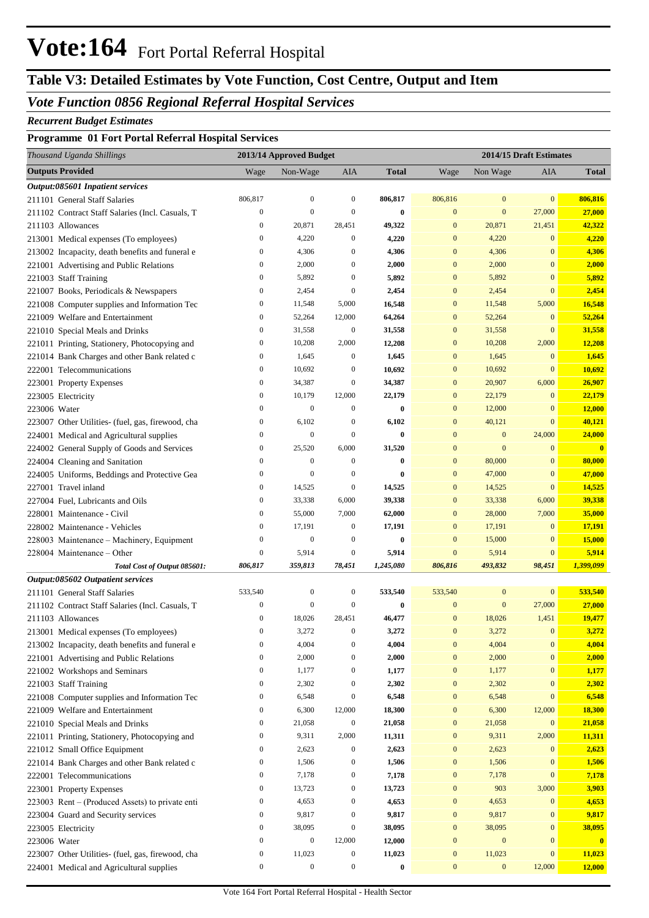## **Vote:164** Fort Portal Referral Hospital

## **Table V3: Detailed Estimates by Vote Function, Cost Centre, Output and Item**

### *Vote Function 0856 Regional Referral Hospital Services*

#### *Recurrent Budget Estimates*

#### **Programme 01 Fort Portal Referral Hospital Services**

| Thousand Uganda Shillings                                                                  |                                  | 2013/14 Approved Budget |                        |                 |                                  |                                  | 2014/15 Draft Estimates |                 |
|--------------------------------------------------------------------------------------------|----------------------------------|-------------------------|------------------------|-----------------|----------------------------------|----------------------------------|-------------------------|-----------------|
| <b>Outputs Provided</b>                                                                    | Wage                             | Non-Wage                | AIA                    | <b>Total</b>    | Wage                             | Non Wage                         | <b>AIA</b>              | <b>Total</b>    |
| Output:085601 Inpatient services                                                           |                                  |                         |                        |                 |                                  |                                  |                         |                 |
| 211101 General Staff Salaries                                                              | 806,817                          | $\mathbf{0}$            | $\boldsymbol{0}$       | 806,817         | 806,816                          | $\mathbf{0}$                     | $\mathbf{0}$            | 806,816         |
| 211102 Contract Staff Salaries (Incl. Casuals, T                                           | $\boldsymbol{0}$                 | $\boldsymbol{0}$        | $\boldsymbol{0}$       | $\bf{0}$        | $\mathbf{0}$                     | $\mathbf{0}$                     | 27,000                  | 27,000          |
| 211103 Allowances                                                                          | $\boldsymbol{0}$                 | 20,871                  | 28,451                 | 49,322          | $\mathbf{0}$                     | 20,871                           | 21,451                  | 42,322          |
| 213001 Medical expenses (To employees)                                                     | $\boldsymbol{0}$                 | 4,220                   | $\boldsymbol{0}$       | 4,220           | $\mathbf{0}$                     | 4,220                            | $\mathbf{0}$            | 4,220           |
| 213002 Incapacity, death benefits and funeral e                                            | $\boldsymbol{0}$                 | 4,306                   | $\boldsymbol{0}$       | 4,306           | $\mathbf{0}$                     | 4,306                            | $\mathbf{0}$            | 4,306           |
| 221001 Advertising and Public Relations                                                    | $\boldsymbol{0}$                 | 2,000                   | $\boldsymbol{0}$       | 2,000           | $\mathbf{0}$                     | 2,000                            | $\mathbf{0}$            | 2,000           |
| 221003 Staff Training                                                                      | $\boldsymbol{0}$                 | 5,892                   | $\boldsymbol{0}$       | 5,892           | $\mathbf{0}$                     | 5,892                            | $\mathbf{0}$            | 5,892           |
| 221007 Books, Periodicals & Newspapers                                                     | $\boldsymbol{0}$                 | 2,454                   | $\boldsymbol{0}$       | 2,454           | $\mathbf{0}$                     | 2,454                            | $\mathbf{0}$            | 2,454           |
| 221008 Computer supplies and Information Tec                                               | $\boldsymbol{0}$                 | 11,548                  | 5,000                  | 16,548          | $\mathbf{0}$                     | 11,548                           | 5,000                   | 16,548          |
| 221009 Welfare and Entertainment                                                           | $\boldsymbol{0}$                 | 52,264                  | 12,000                 | 64,264          | $\mathbf{0}$                     | 52,264                           | $\mathbf{0}$            | 52,264          |
| 221010 Special Meals and Drinks                                                            | $\boldsymbol{0}$                 | 31,558                  | $\boldsymbol{0}$       | 31,558          | $\mathbf{0}$                     | 31,558                           | $\mathbf{0}$            | 31,558          |
| 221011 Printing, Stationery, Photocopying and                                              | $\boldsymbol{0}$                 | 10,208                  | 2,000                  | 12,208          | $\mathbf{0}$                     | 10,208                           | 2,000                   | 12,208          |
| 221014 Bank Charges and other Bank related c                                               | $\boldsymbol{0}$                 | 1,645                   | $\boldsymbol{0}$       | 1,645           | $\mathbf{0}$                     | 1,645                            | $\mathbf{0}$            | 1,645           |
| 222001 Telecommunications                                                                  | $\boldsymbol{0}$                 | 10,692                  | $\boldsymbol{0}$       | 10,692          | $\mathbf{0}$                     | 10,692                           | $\mathbf{0}$            | 10,692          |
| 223001 Property Expenses                                                                   | $\boldsymbol{0}$                 | 34,387                  | $\boldsymbol{0}$       | 34,387          | $\mathbf{0}$                     | 20,907                           | 6,000                   | 26,907          |
| 223005 Electricity                                                                         | $\boldsymbol{0}$                 | 10,179                  | 12,000                 | 22,179          | $\mathbf{0}$                     | 22,179                           | $\mathbf{0}$            | 22,179          |
| 223006 Water                                                                               | $\boldsymbol{0}$                 | $\mathbf{0}$            | $\boldsymbol{0}$       | $\bf{0}$        | $\mathbf{0}$                     | 12,000                           | $\mathbf{0}$            | 12,000          |
| 223007 Other Utilities- (fuel, gas, firewood, cha                                          | $\boldsymbol{0}$                 | 6,102                   | $\boldsymbol{0}$       | 6,102           | $\mathbf{0}$                     | 40,121                           | $\mathbf{0}$            | 40,121          |
| 224001 Medical and Agricultural supplies                                                   | $\boldsymbol{0}$                 | $\mathbf{0}$            | $\boldsymbol{0}$       | $\bf{0}$        | $\mathbf{0}$                     | $\bf{0}$                         | 24,000                  | 24,000          |
| 224002 General Supply of Goods and Services                                                | $\boldsymbol{0}$                 | 25,520                  | 6,000                  | 31,520          | $\mathbf{0}$                     | $\mathbf{0}$                     | $\mathbf{0}$            | $\mathbf{0}$    |
| 224004 Cleaning and Sanitation                                                             | $\boldsymbol{0}$                 | $\mathbf{0}$            | $\boldsymbol{0}$       | $\bf{0}$        | $\mathbf{0}$                     | 80,000                           | $\mathbf{0}$            | 80,000          |
| 224005 Uniforms, Beddings and Protective Gea                                               | $\boldsymbol{0}$                 | $\mathbf{0}$            | $\boldsymbol{0}$       | $\bf{0}$        | $\mathbf{0}$                     | 47,000                           | $\mathbf{0}$            | 47,000          |
| 227001 Travel inland                                                                       | $\boldsymbol{0}$                 | 14,525                  | $\boldsymbol{0}$       | 14,525          | $\mathbf{0}$                     | 14,525                           | $\mathbf{0}$            | 14,525          |
| 227004 Fuel, Lubricants and Oils                                                           | $\boldsymbol{0}$                 | 33,338                  | 6,000                  | 39,338          | $\mathbf{0}$                     | 33,338                           | 6,000                   | 39,338          |
| 228001 Maintenance - Civil                                                                 | $\boldsymbol{0}$                 | 55,000                  | 7,000                  | 62,000          | $\mathbf{0}$                     | 28,000                           | 7,000                   | 35,000          |
| 228002 Maintenance - Vehicles                                                              | $\boldsymbol{0}$                 | 17,191                  | $\boldsymbol{0}$       | 17,191          | $\mathbf{0}$                     | 17,191                           | $\mathbf{0}$            | 17,191          |
| 228003 Maintenance - Machinery, Equipment                                                  | $\boldsymbol{0}$                 | $\mathbf{0}$            | $\boldsymbol{0}$       | $\bf{0}$        | $\mathbf{0}$                     | 15,000                           | $\mathbf{0}$            | 15,000          |
| 228004 Maintenance – Other                                                                 | $\boldsymbol{0}$                 | 5,914                   | $\boldsymbol{0}$       | 5,914           | $\mathbf{0}$                     | 5,914                            | $\mathbf{0}$            | 5,914           |
| Total Cost of Output 085601:                                                               | 806,817                          | 359,813                 | 78,451                 | 1,245,080       | 806,816                          | 493,832                          | 98,451                  | 1,399,099       |
| Output:085602 Outpatient services                                                          |                                  |                         |                        |                 |                                  |                                  |                         |                 |
| 211101 General Staff Salaries                                                              | 533,540                          | $\boldsymbol{0}$        | $\boldsymbol{0}$       | 533,540         | 533,540                          | $\boldsymbol{0}$<br>$\mathbf{0}$ | $\mathbf{0}$            | 533,540         |
| 211102 Contract Staff Salaries (Incl. Casuals, T                                           | $\boldsymbol{0}$                 | $\mathbf{0}$<br>18,026  | $\boldsymbol{0}$       | $\bf{0}$        | $\mathbf{0}$<br>$\boldsymbol{0}$ | 18,026                           | 27,000<br>1,451         | 27,000          |
| 211103 Allowances                                                                          | $\boldsymbol{0}$<br>$\mathbf{0}$ | 3,272                   | 28,451<br>$\mathbf{0}$ | 46,477<br>3,272 | $\mathbf{0}$                     | 3,272                            | $\mathbf{0}$            | 19,477<br>3,272 |
| 213001 Medical expenses (To employees)                                                     | $\boldsymbol{0}$                 | 4,004                   | $\boldsymbol{0}$       | 4,004           | $\boldsymbol{0}$                 | 4,004                            | $\boldsymbol{0}$        | 4,004           |
| 213002 Incapacity, death benefits and funeral e<br>221001 Advertising and Public Relations | $\boldsymbol{0}$                 | 2,000                   | $\boldsymbol{0}$       | 2,000           | $\boldsymbol{0}$                 | 2,000                            | $\boldsymbol{0}$        | 2,000           |
| 221002 Workshops and Seminars                                                              | $\boldsymbol{0}$                 | 1,177                   | $\boldsymbol{0}$       | 1,177           | $\boldsymbol{0}$                 | 1,177                            | $\boldsymbol{0}$        | 1,177           |
| 221003 Staff Training                                                                      | $\boldsymbol{0}$                 | 2,302                   | $\boldsymbol{0}$       | 2,302           | $\boldsymbol{0}$                 | 2,302                            | $\boldsymbol{0}$        | 2,302           |
| 221008 Computer supplies and Information Tec                                               | $\boldsymbol{0}$                 | 6,548                   | $\boldsymbol{0}$       | 6,548           | $\boldsymbol{0}$                 | 6,548                            | $\mathbf{0}$            | 6,548           |
| 221009 Welfare and Entertainment                                                           | $\boldsymbol{0}$                 | 6,300                   | 12,000                 | 18,300          | $\boldsymbol{0}$                 | 6,300                            | 12,000                  | 18,300          |
| 221010 Special Meals and Drinks                                                            | $\boldsymbol{0}$                 | 21,058                  | $\boldsymbol{0}$       | 21,058          | $\boldsymbol{0}$                 | 21,058                           | $\boldsymbol{0}$        | 21,058          |
| 221011 Printing, Stationery, Photocopying and                                              | $\boldsymbol{0}$                 | 9,311                   | 2,000                  | 11,311          | $\boldsymbol{0}$                 | 9,311                            | 2,000                   | 11,311          |
| 221012 Small Office Equipment                                                              | $\boldsymbol{0}$                 | 2,623                   | $\boldsymbol{0}$       | 2,623           | $\boldsymbol{0}$                 | 2,623                            | $\boldsymbol{0}$        | 2,623           |
| 221014 Bank Charges and other Bank related c                                               | $\boldsymbol{0}$                 | 1,506                   | $\boldsymbol{0}$       | 1,506           | $\boldsymbol{0}$                 | 1,506                            | $\boldsymbol{0}$        | 1,506           |
| 222001 Telecommunications                                                                  | $\boldsymbol{0}$                 | 7,178                   | $\boldsymbol{0}$       | 7,178           | $\boldsymbol{0}$                 | 7,178                            | $\mathbf{0}$            | 7,178           |
| 223001 Property Expenses                                                                   | $\boldsymbol{0}$                 | 13,723                  | $\boldsymbol{0}$       | 13,723          | $\boldsymbol{0}$                 | 903                              | 3,000                   | 3,903           |
| 223003 Rent - (Produced Assets) to private enti                                            | $\boldsymbol{0}$                 | 4,653                   | $\boldsymbol{0}$       | 4,653           | $\boldsymbol{0}$                 | 4,653                            | $\bf{0}$                | 4,653           |
| 223004 Guard and Security services                                                         | $\boldsymbol{0}$                 | 9,817                   | $\boldsymbol{0}$       | 9,817           | $\boldsymbol{0}$                 | 9,817                            | $\boldsymbol{0}$        | 9,817           |
| 223005 Electricity                                                                         | $\boldsymbol{0}$                 | 38,095                  | $\boldsymbol{0}$       | 38,095          | $\boldsymbol{0}$                 | 38,095                           | $\boldsymbol{0}$        | 38,095          |
| 223006 Water                                                                               | $\boldsymbol{0}$                 | $\boldsymbol{0}$        | 12,000                 | 12,000          | $\boldsymbol{0}$                 | $\boldsymbol{0}$                 | $\boldsymbol{0}$        | $\mathbf{0}$    |
| 223007 Other Utilities- (fuel, gas, firewood, cha                                          | $\boldsymbol{0}$                 | 11,023                  | $\boldsymbol{0}$       | 11,023          | $\boldsymbol{0}$                 | 11,023                           | $\boldsymbol{0}$        | 11,023          |
| 224001 Medical and Agricultural supplies                                                   | $\boldsymbol{0}$                 | $\boldsymbol{0}$        | $\boldsymbol{0}$       | $\bf{0}$        | $\boldsymbol{0}$                 | $\mathbf{0}$                     | 12,000                  | 12,000          |
|                                                                                            |                                  |                         |                        |                 |                                  |                                  |                         |                 |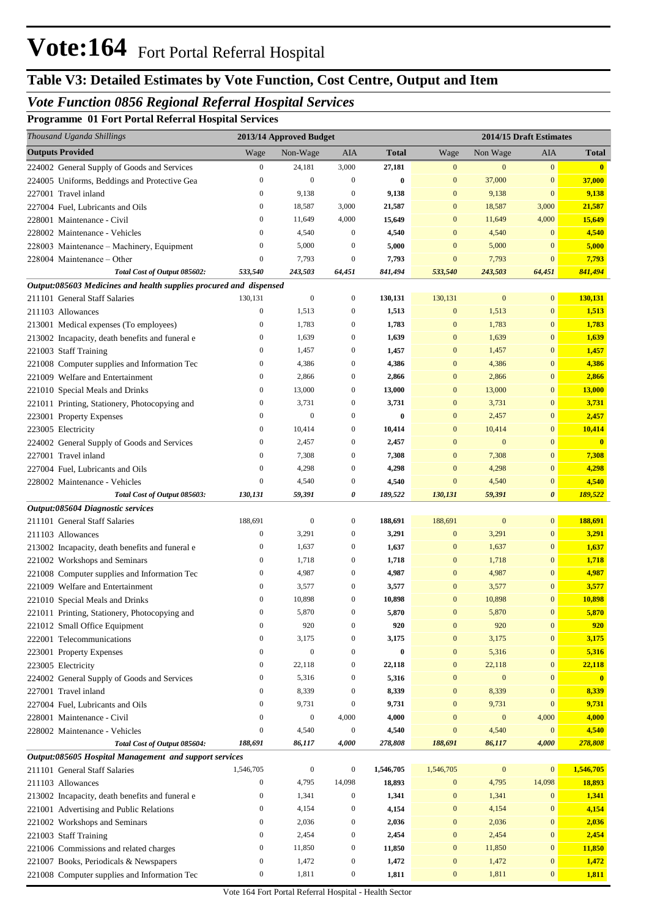## **Table V3: Detailed Estimates by Vote Function, Cost Centre, Output and Item**

## *Vote Function 0856 Regional Referral Hospital Services*

**Programme 01 Fort Portal Referral Hospital Services**

| Thousand Uganda Shillings                                                      | 2013/14 Approved Budget |                  |                                      | 2014/15 Draft Estimates |                                  |                  |                                |                         |
|--------------------------------------------------------------------------------|-------------------------|------------------|--------------------------------------|-------------------------|----------------------------------|------------------|--------------------------------|-------------------------|
| <b>Outputs Provided</b>                                                        | Wage                    | Non-Wage         | AIA                                  | <b>Total</b>            | Wage                             | Non Wage         | AIA                            | Total                   |
| 224002 General Supply of Goods and Services                                    | $\boldsymbol{0}$        | 24,181           | 3,000                                | 27,181                  | $\boldsymbol{0}$                 | $\mathbf{0}$     | $\mathbf{0}$                   | $\mathbf{0}$            |
| 224005 Uniforms, Beddings and Protective Gea                                   | $\boldsymbol{0}$        | $\mathbf{0}$     | $\boldsymbol{0}$                     | $\bf{0}$                | $\mathbf{0}$                     | 37,000           | $\bf{0}$                       | 37,000                  |
| 227001 Travel inland                                                           | $\mathbf{0}$            | 9,138            | $\boldsymbol{0}$                     | 9,138                   | $\mathbf{0}$                     | 9,138            | $\bf{0}$                       | 9,138                   |
| 227004 Fuel, Lubricants and Oils                                               | $\boldsymbol{0}$        | 18,587           | 3,000                                | 21,587                  | $\mathbf{0}$                     | 18,587           | 3,000                          | 21,587                  |
| 228001 Maintenance - Civil                                                     | $\mathbf{0}$            | 11,649           | 4,000                                | 15,649                  | $\mathbf{0}$                     | 11,649           | 4,000                          | 15,649                  |
| 228002 Maintenance - Vehicles                                                  | $\mathbf{0}$            | 4,540            | $\boldsymbol{0}$                     | 4,540                   | $\mathbf{0}$                     | 4,540            | $\mathbf{0}$                   | 4,540                   |
| 228003 Maintenance - Machinery, Equipment                                      | $\mathbf{0}$            | 5,000            | $\mathbf{0}$                         | 5,000                   | $\mathbf{0}$                     | 5,000            | $\bf{0}$                       | 5,000                   |
| 228004 Maintenance – Other                                                     | $\mathbf{0}$            | 7,793            | $\mathbf{0}$                         | 7,793                   | $\mathbf{0}$                     | 7,793            | $\mathbf{0}$                   | 7,793                   |
| Total Cost of Output 085602:                                                   | 533,540                 | 243,503          | 64,451                               | 841,494                 | 533,540                          | 243,503          | 64,451                         | 841,494                 |
| Output:085603 Medicines and health supplies procured and dispensed             |                         |                  |                                      |                         |                                  |                  |                                |                         |
| 211101 General Staff Salaries                                                  | 130,131                 | $\boldsymbol{0}$ | $\boldsymbol{0}$                     | 130,131                 | 130,131                          | $\boldsymbol{0}$ | $\overline{0}$                 | 130,131                 |
| 211103 Allowances                                                              | $\boldsymbol{0}$        | 1,513            | $\boldsymbol{0}$                     | 1,513                   | $\mathbf{0}$                     | 1,513            | $\mathbf{0}$                   | 1,513                   |
| 213001 Medical expenses (To employees)                                         | $\boldsymbol{0}$        | 1,783            | $\boldsymbol{0}$                     | 1,783                   | $\mathbf{0}$                     | 1,783            | $\overline{0}$                 | 1,783                   |
| 213002 Incapacity, death benefits and funeral e                                | $\mathbf{0}$            | 1,639            | $\boldsymbol{0}$                     | 1,639                   | $\mathbf{0}$                     | 1,639            | $\mathbf{0}$                   | 1,639                   |
| 221003 Staff Training                                                          | $\mathbf{0}$            | 1,457            | $\boldsymbol{0}$                     | 1,457                   | $\mathbf{0}$                     | 1,457            | $\mathbf{0}$                   | 1,457                   |
| 221008 Computer supplies and Information Tec                                   | $\mathbf{0}$            | 4,386            | $\boldsymbol{0}$                     | 4,386                   | $\mathbf{0}$                     | 4,386            | $\mathbf{0}$                   | 4,386                   |
| 221009 Welfare and Entertainment                                               | $\mathbf{0}$            | 2,866            | $\boldsymbol{0}$                     | 2,866                   | $\mathbf{0}$                     | 2,866            | $\mathbf{0}$                   | 2,866                   |
| 221010 Special Meals and Drinks                                                | $\boldsymbol{0}$        | 13,000           | $\boldsymbol{0}$                     | 13,000                  | $\mathbf{0}$                     | 13,000           | $\boldsymbol{0}$               | <b>13,000</b>           |
| 221011 Printing, Stationery, Photocopying and                                  | $\mathbf{0}$            | 3,731            | $\boldsymbol{0}$                     | 3,731                   | $\mathbf{0}$                     | 3,731            | $\mathbf{0}$                   | 3,731                   |
| 223001 Property Expenses                                                       | $\mathbf{0}$            | $\mathbf{0}$     | $\boldsymbol{0}$                     | $\bf{0}$                | $\mathbf{0}$                     | 2,457            | $\mathbf{0}$                   | 2,457                   |
| 223005 Electricity                                                             | $\mathbf{0}$            | 10,414           | $\boldsymbol{0}$                     | 10,414                  | $\mathbf{0}$                     | 10,414           | $\mathbf{0}$                   | 10,414                  |
| 224002 General Supply of Goods and Services                                    | $\boldsymbol{0}$        | 2,457            | $\boldsymbol{0}$                     | 2,457                   | $\mathbf{0}$                     | $\mathbf{0}$     | $\overline{0}$                 | $\overline{\mathbf{0}}$ |
| 227001 Travel inland                                                           | $\mathbf{0}$            | 7,308            | $\boldsymbol{0}$                     | 7,308                   | $\mathbf{0}$                     | 7,308            | $\boldsymbol{0}$               | 7,308                   |
| 227004 Fuel, Lubricants and Oils                                               | $\mathbf{0}$            | 4,298            | $\boldsymbol{0}$                     | 4,298                   | $\mathbf{0}$                     | 4,298            | $\mathbf{0}$                   | 4,298                   |
| 228002 Maintenance - Vehicles                                                  | $\mathbf{0}$            | 4,540            | $\boldsymbol{0}$                     | 4,540                   | $\mathbf{0}$                     | 4,540            | $\boldsymbol{0}$               | 4,540                   |
| Total Cost of Output 085603:                                                   | 130,131                 | 59,391           | 0                                    | 189,522                 | 130,131                          | 59,391           | 0                              | 189,522                 |
| Output:085604 Diagnostic services                                              |                         |                  |                                      |                         |                                  |                  |                                |                         |
| 211101 General Staff Salaries                                                  | 188,691<br>$\mathbf{0}$ | $\boldsymbol{0}$ | $\boldsymbol{0}$                     | 188,691                 | 188,691                          | $\boldsymbol{0}$ | $\overline{0}$<br>$\mathbf{0}$ | 188,691                 |
| 211103 Allowances                                                              | $\mathbf{0}$            | 3,291<br>1,637   | $\boldsymbol{0}$<br>$\boldsymbol{0}$ | 3,291                   | $\boldsymbol{0}$<br>$\mathbf{0}$ | 3,291<br>1,637   | $\mathbf{0}$                   | 3,291                   |
| 213002 Incapacity, death benefits and funeral e                                | $\boldsymbol{0}$        | 1,718            | $\boldsymbol{0}$                     | 1,637                   | $\mathbf{0}$                     | 1,718            | $\overline{0}$                 | 1,637                   |
| 221002 Workshops and Seminars                                                  | $\mathbf{0}$            | 4,987            | $\boldsymbol{0}$                     | 1,718                   | $\mathbf{0}$                     | 4,987            | $\mathbf{0}$                   | 1,718                   |
| 221008 Computer supplies and Information Tec                                   | $\mathbf{0}$            |                  |                                      | 4,987                   |                                  |                  | $\mathbf{0}$                   | 4,987                   |
| 221009 Welfare and Entertainment                                               | $\mathbf{0}$            | 3,577<br>10,898  | $\boldsymbol{0}$<br>$\boldsymbol{0}$ | 3,577<br>10,898         | $\mathbf{0}$<br>$\mathbf{0}$     | 3,577<br>10,898  | $\mathbf{0}$                   | 3,577                   |
| 221010 Special Meals and Drinks                                                | $\theta$                | 5,870            | $\Omega$                             | 5,870                   | $\mathbf{0}$                     | 5,870            | $\mathbf{0}$                   | 10,898<br>5,870         |
| 221011 Printing, Stationery, Photocopying and<br>221012 Small Office Equipment | $\boldsymbol{0}$        | 920              | $\boldsymbol{0}$                     | 920                     | $\mathbf{0}$                     | 920              | $\boldsymbol{0}$               | 920                     |
| 222001 Telecommunications                                                      | $\boldsymbol{0}$        | 3,175            | $\boldsymbol{0}$                     | 3,175                   | $\boldsymbol{0}$                 | 3,175            | $\boldsymbol{0}$               | 3,175                   |
| 223001 Property Expenses                                                       | $\mathbf{0}$            | $\boldsymbol{0}$ | $\boldsymbol{0}$                     | $\bf{0}$                | $\boldsymbol{0}$                 | 5,316            | $\boldsymbol{0}$               | 5,316                   |
| 223005 Electricity                                                             | $\boldsymbol{0}$        | 22,118           | $\boldsymbol{0}$                     | 22,118                  | $\boldsymbol{0}$                 | 22,118           | $\boldsymbol{0}$               | 22,118                  |
| 224002 General Supply of Goods and Services                                    | $\boldsymbol{0}$        | 5,316            | $\boldsymbol{0}$                     | 5,316                   | $\mathbf{0}$                     | $\boldsymbol{0}$ | $\boldsymbol{0}$               | $\mathbf{0}$            |
| 227001 Travel inland                                                           | $\boldsymbol{0}$        | 8,339            | $\mathbf{0}$                         | 8,339                   | $\boldsymbol{0}$                 | 8,339            | $\boldsymbol{0}$               | 8,339                   |
| 227004 Fuel, Lubricants and Oils                                               | $\mathbf{0}$            | 9,731            | $\boldsymbol{0}$                     | 9,731                   | $\mathbf{0}$                     | 9,731            | $\boldsymbol{0}$               | 9,731                   |
| 228001 Maintenance - Civil                                                     | $\overline{0}$          | $\boldsymbol{0}$ | 4,000                                | 4,000                   | $\mathbf{0}$                     | $\boldsymbol{0}$ | 4,000                          | 4,000                   |
| 228002 Maintenance - Vehicles                                                  | $\boldsymbol{0}$        | 4,540            | $\boldsymbol{0}$                     | 4,540                   | $\boldsymbol{0}$                 | 4,540            | $\boldsymbol{0}$               | 4,540                   |
| Total Cost of Output 085604:                                                   | 188,691                 | 86,117           | 4,000                                | 278,808                 | 188,691                          | 86,117           | 4,000                          | 278,808                 |
| Output:085605 Hospital Management and support services                         |                         |                  |                                      |                         |                                  |                  |                                |                         |
| 211101 General Staff Salaries                                                  | 1,546,705               | $\boldsymbol{0}$ | $\boldsymbol{0}$                     | 1,546,705               | 1,546,705                        | $\boldsymbol{0}$ | $\mathbf{0}$                   | 1,546,705               |
| 211103 Allowances                                                              | 0                       | 4,795            | 14,098                               | 18,893                  | $\boldsymbol{0}$                 | 4,795            | 14,098                         | 18,893                  |
| 213002 Incapacity, death benefits and funeral e                                | $\boldsymbol{0}$        | 1,341            | $\boldsymbol{0}$                     | 1,341                   | $\boldsymbol{0}$                 | 1,341            | $\boldsymbol{0}$               | 1,341                   |
| 221001 Advertising and Public Relations                                        | $\boldsymbol{0}$        | 4,154            | $\boldsymbol{0}$                     | 4,154                   | $\boldsymbol{0}$                 | 4,154            | $\boldsymbol{0}$               | 4,154                   |
| 221002 Workshops and Seminars                                                  | $\boldsymbol{0}$        | 2,036            | $\boldsymbol{0}$                     | 2,036                   | $\boldsymbol{0}$                 | 2,036            | $\boldsymbol{0}$               | 2,036                   |
| 221003 Staff Training                                                          | $\boldsymbol{0}$        | 2,454            | $\boldsymbol{0}$                     | 2,454                   | $\boldsymbol{0}$                 | 2,454            | $\boldsymbol{0}$               | 2,454                   |
| 221006 Commissions and related charges                                         | $\boldsymbol{0}$        | 11,850           | $\boldsymbol{0}$                     | 11,850                  | $\boldsymbol{0}$                 | 11,850           | $\boldsymbol{0}$               | 11,850                  |
| 221007 Books, Periodicals & Newspapers                                         | $\boldsymbol{0}$        | 1,472            | $\boldsymbol{0}$                     | 1,472                   | $\boldsymbol{0}$                 | 1,472            | $\boldsymbol{0}$               | 1,472                   |
| 221008 Computer supplies and Information Tec                                   | $\boldsymbol{0}$        | 1,811            | $\boldsymbol{0}$                     | 1,811                   | $\bf{0}$                         | 1,811            | $\boldsymbol{0}$               | 1,811                   |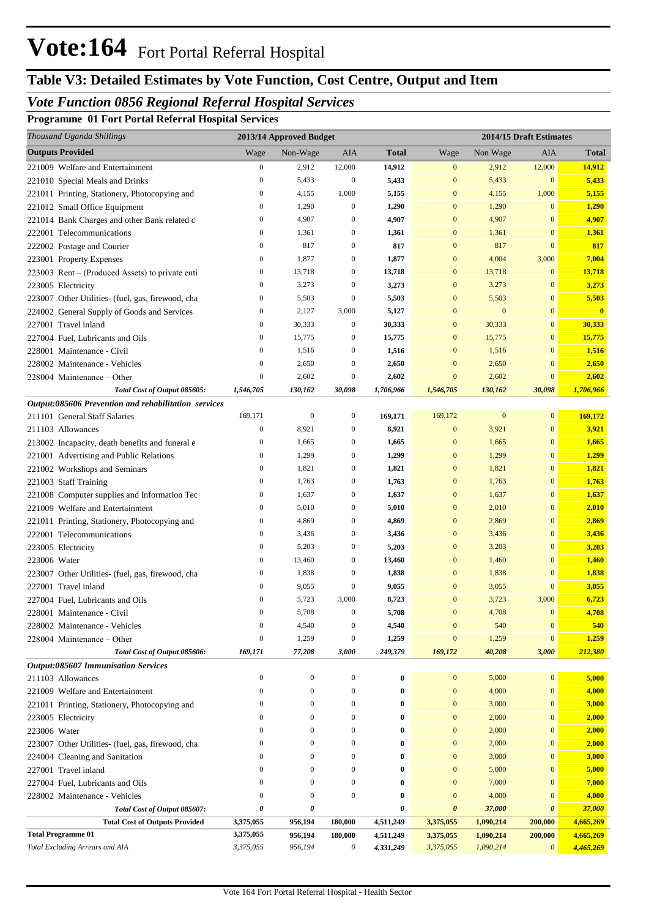## **Table V3: Detailed Estimates by Vote Function, Cost Centre, Output and Item**

### *Vote Function 0856 Regional Referral Hospital Services*

**Programme 01 Fort Portal Referral Hospital Services**

| Thousand Uganda Shillings                            |                  | 2013/14 Approved Budget |                  |              |                  | 2014/15 Draft Estimates |                       |              |
|------------------------------------------------------|------------------|-------------------------|------------------|--------------|------------------|-------------------------|-----------------------|--------------|
| <b>Outputs Provided</b>                              | Wage             | Non-Wage                | AIA              | <b>Total</b> | Wage             | Non Wage                | AIA                   | Total        |
| 221009 Welfare and Entertainment                     | $\boldsymbol{0}$ | 2,912                   | 12,000           | 14,912       | $\boldsymbol{0}$ | 2,912                   | 12,000                | 14,912       |
| 221010 Special Meals and Drinks                      | $\boldsymbol{0}$ | 5,433                   | $\boldsymbol{0}$ | 5,433        | $\boldsymbol{0}$ | 5,433                   | $\boldsymbol{0}$      | 5,433        |
| 221011 Printing, Stationery, Photocopying and        | $\boldsymbol{0}$ | 4,155                   | 1,000            | 5,155        | $\boldsymbol{0}$ | 4,155                   | 1,000                 | 5,155        |
| 221012 Small Office Equipment                        | $\boldsymbol{0}$ | 1,290                   | $\boldsymbol{0}$ | 1,290        | $\mathbf{0}$     | 1,290                   | $\mathbf{0}$          | 1,290        |
| 221014 Bank Charges and other Bank related c         | $\boldsymbol{0}$ | 4,907                   | $\boldsymbol{0}$ | 4,907        | $\mathbf{0}$     | 4,907                   | $\mathbf{0}$          | 4,907        |
| 222001 Telecommunications                            | $\boldsymbol{0}$ | 1,361                   | $\boldsymbol{0}$ | 1,361        | $\mathbf{0}$     | 1,361                   | $\mathbf{0}$          | 1,361        |
| 222002 Postage and Courier                           | $\boldsymbol{0}$ | 817                     | $\boldsymbol{0}$ | 817          | $\mathbf{0}$     | 817                     | $\mathbf{0}$          | 817          |
| 223001 Property Expenses                             | $\boldsymbol{0}$ | 1,877                   | 0                | 1,877        | $\mathbf{0}$     | 4,004                   | 3,000                 | 7,004        |
| 223003 Rent – (Produced Assets) to private enti      | $\boldsymbol{0}$ | 13,718                  | $\boldsymbol{0}$ | 13,718       | $\mathbf{0}$     | 13,718                  | $\mathbf{0}$          | 13,718       |
| 223005 Electricity                                   | $\boldsymbol{0}$ | 3,273                   | $\boldsymbol{0}$ | 3,273        | $\mathbf{0}$     | 3,273                   | $\mathbf{0}$          | 3,273        |
| 223007 Other Utilities- (fuel, gas, firewood, cha    | $\mathbf{0}$     | 5,503                   | $\boldsymbol{0}$ | 5,503        | $\mathbf{0}$     | 5,503                   | $\mathbf{0}$          | 5,503        |
| 224002 General Supply of Goods and Services          | $\boldsymbol{0}$ | 2,127                   | 3,000            | 5,127        | $\mathbf{0}$     | $\mathbf{0}$            | $\mathbf{0}$          | $\mathbf{0}$ |
| 227001 Travel inland                                 | 0                | 30,333                  | $\boldsymbol{0}$ | 30,333       | $\mathbf{0}$     | 30,333                  | $\mathbf{0}$          | 30,333       |
| 227004 Fuel, Lubricants and Oils                     | $\mathbf{0}$     | 15,775                  | $\boldsymbol{0}$ | 15,775       | $\mathbf{0}$     | 15,775                  | $\mathbf{0}$          | 15,775       |
| 228001 Maintenance - Civil                           | $\mathbf{0}$     | 1,516                   | $\boldsymbol{0}$ | 1,516        | $\mathbf{0}$     | 1,516                   | $\mathbf{0}$          | 1,516        |
| 228002 Maintenance - Vehicles                        | $\mathbf{0}$     | 2,650                   | $\mathbf{0}$     | 2,650        | $\mathbf{0}$     | 2,650                   | $\mathbf{0}$          | 2,650        |
| 228004 Maintenance – Other                           | $\mathbf{0}$     | 2,602                   | 0                | 2,602        | $\mathbf{0}$     | 2,602                   | $\mathbf{0}$          | 2,602        |
| Total Cost of Output 085605:                         | 1,546,705        | 130,162                 | 30,098           | 1,706,966    | 1,546,705        | 130,162                 | 30,098                | 1,706,966    |
| Output:085606 Prevention and rehabilitation services |                  |                         |                  |              |                  |                         |                       |              |
| 211101 General Staff Salaries                        | 169,171          | $\boldsymbol{0}$        | $\boldsymbol{0}$ | 169,171      | 169,172          | $\bf{0}$                | $\mathbf{0}$          | 169,172      |
| 211103 Allowances                                    | $\boldsymbol{0}$ | 8,921                   | $\boldsymbol{0}$ | 8,921        | $\mathbf{0}$     | 3,921                   | $\bf{0}$              | 3,921        |
| 213002 Incapacity, death benefits and funeral e      | $\boldsymbol{0}$ | 1,665                   | $\boldsymbol{0}$ | 1,665        | $\mathbf{0}$     | 1,665                   | $\mathbf{0}$          | 1,665        |
| 221001 Advertising and Public Relations              | 0                | 1,299                   | $\boldsymbol{0}$ | 1,299        | $\mathbf{0}$     | 1,299                   | $\mathbf{0}$          | 1,299        |
| 221002 Workshops and Seminars                        | 0                | 1,821                   | $\boldsymbol{0}$ | 1,821        | $\mathbf{0}$     | 1,821                   | $\mathbf{0}$          | 1,821        |
| 221003 Staff Training                                | $\mathbf{0}$     | 1,763                   | $\boldsymbol{0}$ | 1,763        | $\mathbf{0}$     | 1,763                   | $\mathbf{0}$          | 1,763        |
| 221008 Computer supplies and Information Tec         | 0                | 1,637                   | $\boldsymbol{0}$ | 1,637        | $\mathbf{0}$     | 1,637                   | $\mathbf{0}$          | 1,637        |
| 221009 Welfare and Entertainment                     | 0                | 5,010                   | $\boldsymbol{0}$ | 5,010        | $\mathbf{0}$     | 2,010                   | $\mathbf{0}$          | 2,010        |
| 221011 Printing, Stationery, Photocopying and        | 0                | 4,869                   | $\boldsymbol{0}$ | 4,869        | $\mathbf{0}$     | 2,869                   | $\mathbf{0}$          | 2,869        |
| 222001 Telecommunications                            | $\boldsymbol{0}$ | 3,436                   | $\boldsymbol{0}$ | 3,436        | $\mathbf{0}$     | 3,436                   | $\mathbf{0}$          | 3,436        |
| 223005 Electricity                                   | 0                | 5,203                   | $\boldsymbol{0}$ | 5,203        | $\mathbf{0}$     | 3,203                   | $\mathbf{0}$          | 3,203        |
| 223006 Water                                         | $\boldsymbol{0}$ | 13,460                  | $\boldsymbol{0}$ | 13,460       | $\mathbf{0}$     | 1,460                   | $\mathbf{0}$          | 1,460        |
| 223007 Other Utilities- (fuel, gas, firewood, cha    | 0                | 1,838                   | $\theta$         | 1,838        | $\mathbf{0}$     | 1,838                   | $\bf{0}$              | 1,838        |
| 227001 Travel inland                                 | $\mathbf{0}$     | 9,055                   | $\mathbf{0}$     | 9,055        | $\mathbf{0}$     | 3,055                   | $\mathbf{0}$          | 3,055        |
| 227004 Fuel, Lubricants and Oils                     | $\mathbf{0}$     | 5,723                   | 3,000            | 8,723        | $\mathbf{0}$     | 3,723                   | 3,000                 | 6,723        |
| 228001 Maintenance - Civil                           | 0                | 5,708                   | 0                | 5,708        | $\mathbf{0}$     | 4,708                   | $\mathbf{0}$          | 4,708        |
| 228002 Maintenance - Vehicles                        | 0                | 4,540                   | $\boldsymbol{0}$ | 4,540        | $\mathbf{0}$     | 540                     | $\boldsymbol{0}$      | 540          |
| 228004 Maintenance – Other                           | $\boldsymbol{0}$ | 1,259                   | $\boldsymbol{0}$ | 1,259        | $\mathbf{0}$     | 1,259                   | $\boldsymbol{0}$      | 1,259        |
| Total Cost of Output 085606:                         | 169,171          | 77,208                  | 3,000            | 249,379      | 169,172          | 40,208                  | 3,000                 | 212,380      |
| <b>Output:085607 Immunisation Services</b>           |                  |                         |                  |              |                  |                         |                       |              |
| 211103 Allowances                                    | 0                | $\boldsymbol{0}$        | $\boldsymbol{0}$ | 0            | $\mathbf{0}$     | 5,000                   | 0                     | 5,000        |
| 221009 Welfare and Entertainment                     | $\mathbf{0}$     | $\boldsymbol{0}$        | $\boldsymbol{0}$ | 0            | $\mathbf{0}$     | 4,000                   | $\mathbf{0}$          | 4,000        |
| 221011 Printing, Stationery, Photocopying and        | $\mathbf{0}$     | $\mathbf{0}$            | $\boldsymbol{0}$ | 0            | $\mathbf{0}$     | 3,000                   | $\bf{0}$              | 3,000        |
| 223005 Electricity                                   | $\mathbf{0}$     | $\mathbf{0}$            | $\mathbf{0}$     | 0            | $\mathbf{0}$     | 2,000                   | $\bf{0}$              | 2,000        |
| 223006 Water                                         | $\Omega$         | $\mathbf{0}$            | $\mathbf{0}$     | 0            | $\mathbf{0}$     | 2,000                   | $\bf{0}$              | 2,000        |
| 223007 Other Utilities- (fuel, gas, firewood, cha    | $\mathbf{0}$     | $\mathbf{0}$            | $\mathbf{0}$     | 0            | $\mathbf{0}$     | 2,000                   | $\bf{0}$              | 2,000        |
| 224004 Cleaning and Sanitation                       | $\Omega$         | $\mathbf{0}$            | $\mathbf{0}$     | 0            | $\mathbf{0}$     | 3,000                   | $\bf{0}$              | 3,000        |
| 227001 Travel inland                                 | $\Omega$         | $\Omega$                | $\mathbf{0}$     | 0            | $\mathbf{0}$     | 5,000                   | $\bf{0}$              | 5,000        |
| 227004 Fuel, Lubricants and Oils                     | $\Omega$         | $\mathbf{0}$            | $\boldsymbol{0}$ | 0            | $\mathbf{0}$     | 7,000                   | $\bf{0}$              | 7,000        |
| 228002 Maintenance - Vehicles                        | $\mathbf{0}$     | $\mathbf{0}$            | $\boldsymbol{0}$ | 0            | $\mathbf{0}$     | 4,000                   | $\bf{0}$              | 4,000        |
| Total Cost of Output 085607:                         | 0                | 0                       |                  | 0            | 0                | 37,000                  | 0                     | 37,000       |
| <b>Total Cost of Outputs Provided</b>                | 3,375,055        | 956,194                 | 180,000          | 4,511,249    | 3,375,055        | 1,090,214               | 200,000               | 4,665,269    |
| <b>Total Programme 01</b>                            | 3,375,055        | 956,194                 | 180,000          | 4,511,249    | 3,375,055        | 1,090,214               | 200,000               | 4,665,269    |
| Total Excluding Arrears and AIA                      | 3,375,055        | 956,194                 | 0                | 4,331,249    | 3,375,055        | 1,090,214               | $\boldsymbol{\theta}$ | 4,465,269    |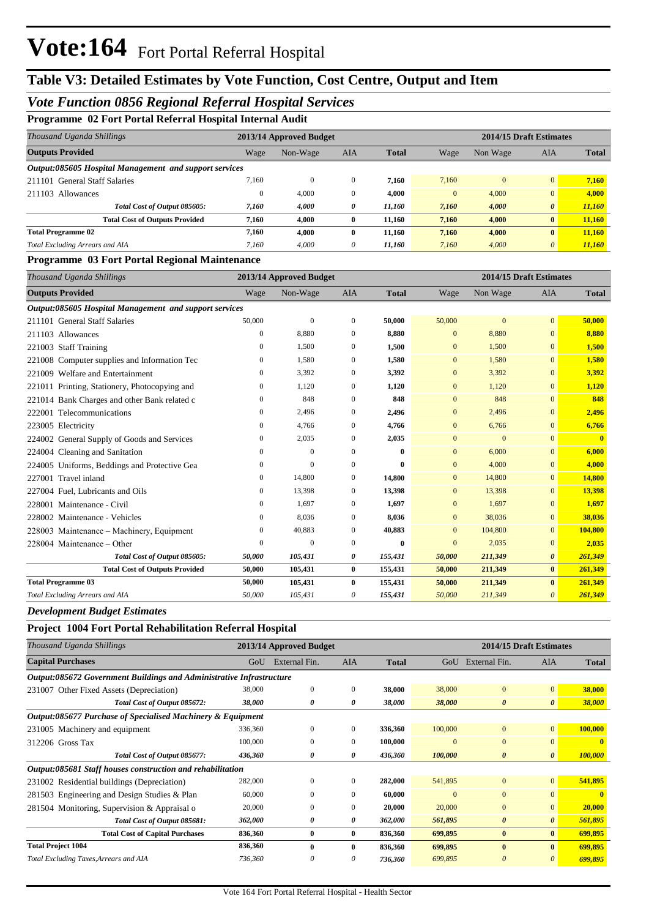## **Table V3: Detailed Estimates by Vote Function, Cost Centre, Output and Item**

### *Vote Function 0856 Regional Referral Hospital Services*

**Programme 02 Fort Portal Referral Hospital Internal Audit**

| Thousand Uganda Shillings                              |              | 2013/14 Approved Budget |              |              | 2014/15 Draft Estimates |          |                       |              |  |
|--------------------------------------------------------|--------------|-------------------------|--------------|--------------|-------------------------|----------|-----------------------|--------------|--|
| <b>Outputs Provided</b>                                | Wage         | Non-Wage                | <b>AIA</b>   | <b>Total</b> | Wage                    | Non Wage | AIA                   | <b>Total</b> |  |
| Output:085605 Hospital Management and support services |              |                         |              |              |                         |          |                       |              |  |
| 211101 General Staff Salaries                          | 7,160        | $\mathbf{0}$            | $\mathbf{0}$ | 7.160        | 7,160                   | $\Omega$ | $\overline{0}$        | 7,160        |  |
| 211103 Allowances                                      | $\mathbf{0}$ | 4.000                   | $\mathbf{0}$ | 4.000        | $\mathbf{0}$            | 4,000    | $\overline{0}$        | 4,000        |  |
| Total Cost of Output 085605:                           | 7,160        | 4,000                   | 0            | 11,160       | 7.160                   | 4,000    | $\boldsymbol{\theta}$ | 11,160       |  |
| <b>Total Cost of Outputs Provided</b>                  | 7,160        | 4.000                   | $\bf{0}$     | 11.160       | 7.160                   | 4,000    | $\bf{0}$              | 11,160       |  |
| <b>Total Programme 02</b>                              | 7,160        | 4.000                   | $\mathbf{0}$ | 11,160       | 7,160                   | 4,000    | $\mathbf{0}$          | 11,160       |  |
| Total Excluding Arrears and AIA                        | 7.160        | 4,000                   | 0            | 11,160       | 7,160                   | 4,000    | $\theta$              | 11,160       |  |

#### **Programme 03 Fort Portal Regional Maintenance**

| Thousand Uganda Shillings                              |              | 2013/14 Approved Budget |              |              |              | 2014/15 Draft Estimates |                       |              |
|--------------------------------------------------------|--------------|-------------------------|--------------|--------------|--------------|-------------------------|-----------------------|--------------|
| <b>Outputs Provided</b>                                | Wage         | Non-Wage                | <b>AIA</b>   | <b>Total</b> | Wage         | Non Wage                | <b>AIA</b>            | <b>Total</b> |
| Output:085605 Hospital Management and support services |              |                         |              |              |              |                         |                       |              |
| 211101 General Staff Salaries                          | 50,000       | $\overline{0}$          | $\mathbf{0}$ | 50,000       | 50,000       | $\overline{0}$          | $\mathbf{0}$          | 50,000       |
| 211103 Allowances                                      | 0            | 8,880                   | $\mathbf{0}$ | 8,880        | $\mathbf{0}$ | 8,880                   | $\mathbf{0}$          | 8,880        |
| 221003 Staff Training                                  | 0            | 1,500                   | $\mathbf{0}$ | 1,500        | $\mathbf{0}$ | 1,500                   | $\mathbf{0}$          | 1,500        |
| 221008 Computer supplies and Information Tec           | 0            | 1,580                   | $\mathbf{0}$ | 1,580        | $\mathbf{0}$ | 1,580                   | $\mathbf{0}$          | 1,580        |
| 221009 Welfare and Entertainment                       | 0            | 3,392                   | $\mathbf{0}$ | 3,392        | $\mathbf{0}$ | 3,392                   | $\mathbf{0}$          | 3,392        |
| 221011 Printing, Stationery, Photocopying and          | $\mathbf{0}$ | 1.120                   | $\mathbf{0}$ | 1,120        | $\mathbf{0}$ | 1,120                   | $\mathbf{0}$          | 1,120        |
| 221014 Bank Charges and other Bank related c           | $\mathbf{0}$ | 848                     | $\mathbf{0}$ | 848          | $\mathbf{0}$ | 848                     | $\mathbf{0}$          | 848          |
| Telecommunications<br>222001                           | $\mathbf{0}$ | 2,496                   | $\mathbf{0}$ | 2,496        | $\mathbf{0}$ | 2,496                   | $\overline{0}$        | 2,496        |
| 223005 Electricity                                     | $\mathbf{0}$ | 4,766                   | $\mathbf{0}$ | 4,766        | $\mathbf{0}$ | 6,766                   | $\mathbf{0}$          | 6,766        |
| 224002 General Supply of Goods and Services            | 0            | 2,035                   | $\mathbf{0}$ | 2,035        | $\mathbf{0}$ | $\mathbf{0}$            | $\overline{0}$        | $\mathbf{0}$ |
| 224004 Cleaning and Sanitation                         | 0            | $\mathbf{0}$            | $\mathbf{0}$ | $\mathbf{0}$ | $\mathbf{0}$ | 6,000                   | $\overline{0}$        | 6,000        |
| 224005 Uniforms, Beddings and Protective Gea           | $\mathbf{0}$ | $\mathbf{0}$            | $\mathbf{0}$ | $\mathbf{0}$ | $\mathbf{0}$ | 4,000                   | $\overline{0}$        | 4,000        |
| Travel inland<br>227001                                | $\mathbf{0}$ | 14,800                  | $\mathbf{0}$ | 14,800       | $\mathbf{0}$ | 14,800                  | $\mathbf{0}$          | 14,800       |
| 227004 Fuel, Lubricants and Oils                       | $\mathbf{0}$ | 13,398                  | $\mathbf{0}$ | 13,398       | $\mathbf{0}$ | 13,398                  | $\overline{0}$        | 13,398       |
| 228001 Maintenance - Civil                             | $\mathbf{0}$ | 1,697                   | $\mathbf{0}$ | 1,697        | $\mathbf{0}$ | 1,697                   | $\overline{0}$        | 1,697        |
| 228002 Maintenance - Vehicles                          | $\mathbf{0}$ | 8,036                   | $\mathbf{0}$ | 8,036        | $\mathbf{0}$ | 38,036                  | $\mathbf{0}$          | 38,036       |
| 228003 Maintenance – Machinery, Equipment              | $\mathbf{0}$ | 40,883                  | $\mathbf{0}$ | 40,883       | $\mathbf{0}$ | 104,800                 | $\mathbf{0}$          | 104,800      |
| 228004 Maintenance – Other                             | $\Omega$     | $\overline{0}$          | $\mathbf{0}$ | $\mathbf{0}$ | $\mathbf{0}$ | 2,035                   | $\mathbf{0}$          | 2,035        |
| Total Cost of Output 085605:                           | 50,000       | 105,431                 | 0            | 155,431      | 50,000       | 211,349                 | $\boldsymbol{\theta}$ | 261,349      |
| <b>Total Cost of Outputs Provided</b>                  | 50,000       | 105,431                 | $\bf{0}$     | 155,431      | 50,000       | 211,349                 | $\bf{0}$              | 261,349      |
| <b>Total Programme 03</b>                              | 50,000       | 105,431                 | $\bf{0}$     | 155,431      | 50,000       | 211,349                 | $\mathbf{0}$          | 261,349      |
| Total Excluding Arrears and AIA                        | 50,000       | 105,431                 | 0            | 155,431      | 50,000       | 211,349                 | $\theta$              | 261,349      |

*Development Budget Estimates*

### **Project 1004 Fort Portal Rehabilitation Referral Hospital**

| Thousand Uganda Shillings                                            |         | 2013/14 Approved Budget |              |              |          |                       | 2014/15 Draft Estimates |              |
|----------------------------------------------------------------------|---------|-------------------------|--------------|--------------|----------|-----------------------|-------------------------|--------------|
| <b>Capital Purchases</b>                                             | GoU     | External Fin.           | <b>AIA</b>   | <b>Total</b> | GoU      | External Fin.         | <b>AIA</b>              | <b>Total</b> |
| Output:085672 Government Buildings and Administrative Infrastructure |         |                         |              |              |          |                       |                         |              |
| 231007 Other Fixed Assets (Depreciation)                             | 38,000  | $\Omega$                | $\Omega$     | 38,000       | 38,000   | $\mathbf{0}$          | $\overline{0}$          | 38,000       |
| Total Cost of Output 085672:                                         | 38,000  | 0                       | 0            | 38,000       | 38,000   | $\boldsymbol{\theta}$ | $\boldsymbol{\theta}$   | 38,000       |
| Output:085677 Purchase of Specialised Machinery & Equipment          |         |                         |              |              |          |                       |                         |              |
| 231005 Machinery and equipment                                       | 336,360 | $\mathbf{0}$            | $\mathbf{0}$ | 336,360      | 100,000  | $\mathbf{0}$          | $\mathbf{0}$            | 100,000      |
| 312206 Gross Tax                                                     | 100,000 | $\mathbf{0}$            | $\Omega$     | 100,000      | $\Omega$ | $\mathbf{0}$          | $\mathbf{0}$            | $\mathbf{0}$ |
| Total Cost of Output 085677:                                         | 436,360 | 0                       | 0            | 436,360      | 100,000  | $\boldsymbol{\theta}$ | $\boldsymbol{\theta}$   | 100,000      |
| Output:085681 Staff houses construction and rehabilitation           |         |                         |              |              |          |                       |                         |              |
| 231002 Residential buildings (Depreciation)                          | 282,000 | $\Omega$                | $\Omega$     | 282,000      | 541,895  | $\mathbf{0}$          | $\mathbf{0}$            | 541,895      |
| 281503 Engineering and Design Studies & Plan                         | 60,000  | $\Omega$                | $\Omega$     | 60,000       | $\Omega$ | $\mathbf{0}$          | $\overline{0}$          | $\mathbf{0}$ |
| 281504 Monitoring, Supervision & Appraisal o                         | 20,000  | $\mathbf{0}$            | 0            | 20,000       | 20,000   | $\mathbf{0}$          | $\mathbf{0}$            | 20,000       |
| Total Cost of Output 085681:                                         | 362,000 | 0                       | 0            | 362,000      | 561,895  | $\boldsymbol{\theta}$ | $\boldsymbol{\theta}$   | 561,895      |
| <b>Total Cost of Capital Purchases</b>                               | 836,360 | $\bf{0}$                | $\bf{0}$     | 836,360      | 699,895  | $\bf{0}$              | $\bf{0}$                | 699,895      |
| <b>Total Project 1004</b>                                            | 836,360 | $\mathbf{0}$            | 0            | 836,360      | 699,895  | $\mathbf{0}$          | $\mathbf{0}$            | 699,895      |
| Total Excluding Taxes, Arrears and AIA                               | 736,360 | $\theta$                | 0            | 736,360      | 699,895  | $\theta$              | $\theta$                | 699,895      |